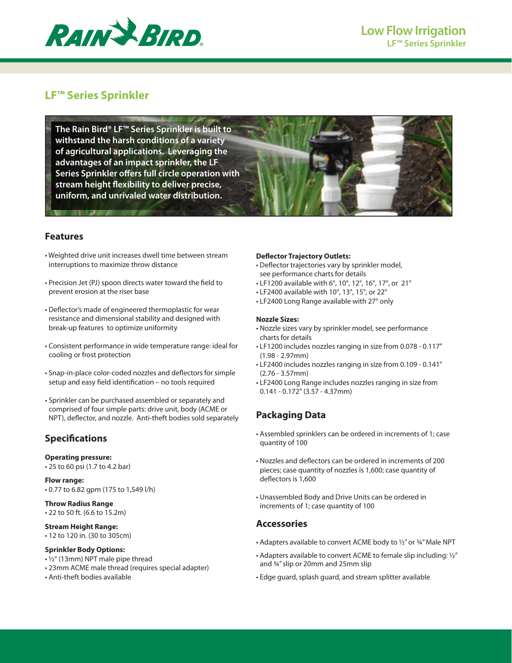

# **LF™ Series Sprinkler**

**The Rain Bird® LF™ Series Sprinkler is built to withstand the harsh conditions of a variety of agricultural applications. Leveraging the advantages of an impact sprinkler, the LF Series Sprinkler offers full circle operation with stream height flexibility to deliver precise, uniform, and unrivaled water distribution.**

## **Features**

- Weighted drive unit increases dwell time between stream interruptions to maximize throw distance
- Precision Jet (PJ) spoon directs water toward the field to prevent erosion at the riser base
- Deflector's made of engineered thermoplastic for wear resistance and dimensional stability and designed with break-up features to optimize uniformity
- Consistent performance in wide temperature range: ideal for cooling or frost protection
- Snap-in-place color-coded nozzles and deflectors for simple setup and easy field identification – no tools required
- Sprinkler can be purchased assembled or separately and comprised of four simple parts: drive unit, body (ACME or NPT), deflector, and nozzle. Anti-theft bodies sold separately

## **Specifications**

#### **Operating pressure:**

• 25 to 60 psi (1.7 to 4.2 bar)

### **Flow range:**  • 0.77 to 6.82 gpm (175 to 1,549 l/h)

**Throw Radius Range** • 22 to 50 ft. (6.6 to 15.2m)

#### **Stream Height Range:**

• 12 to 120 in. (30 to 305cm)

#### **Sprinkler Body Options:**

- ½" (13mm) NPT male pipe thread
- 23mm ACME male thread (requires special adapter)
- Anti-theft bodies available

### **Deflector Trajectory Outlets:**

- Deflector trajectories vary by sprinkler model, see performance charts for details
- LF1200 available with 6°, 10°, 12°, 16°, 17°, or 21°
- LF2400 available with 10°, 13°, 15°, or 22°
- LF2400 Long Range available with 27° only

#### **Nozzle Sizes:**

- Nozzle sizes vary by sprinkler model, see performance charts for details
- LF1200 includes nozzles ranging in size from 0.078 0.117" (1.98 - 2.97mm)
- LF2400 includes nozzles ranging in size from 0.109 0.141" (2.76 - 3.57mm)
- LF2400 Long Range includes nozzles ranging in size from 0.141 - 0.172" (3.57 - 4.37mm)

## **Packaging Data**

- Assembled sprinklers can be ordered in increments of 1; case quantity of 100
- Nozzles and deflectors can be ordered in increments of 200 pieces; case quantity of nozzles is 1,600; case quantity of deflectors is 1,600
- Unassembled Body and Drive Units can be ordered in increments of 1; case quantity of 100

## **Accessories**

- Adapters available to convert ACME body to 1/2" or 3/4" Male NPT
- Adapters available to convert ACME to female slip including: ½" and ¾" slip or 20mm and 25mm slip
- Edge guard, splash guard, and stream splitter available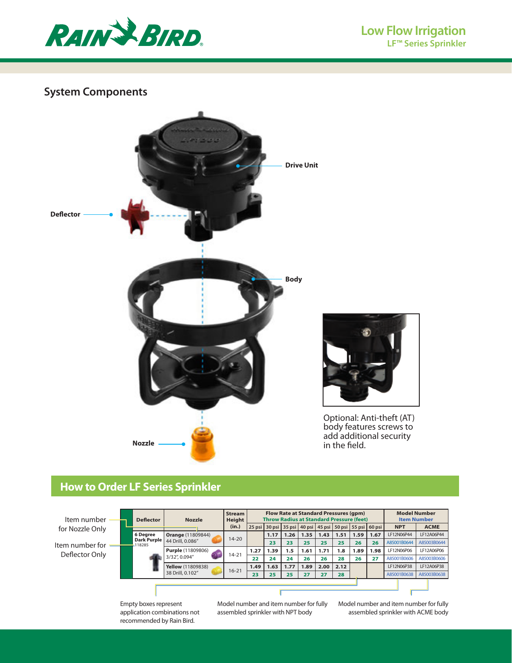

# **System Components**



# **How to Order LF Series Sprinkler**

| Item number<br>for Nozzle Only | <b>Deflector</b>      | <b>Nozzle</b>            | <b>Stream</b><br><b>Height</b><br>(in.) |      |      |      |      |      | <b>Flow Rate at Standard Pressures (qpm)</b><br><b>Throw Radius at Standard Pressure (feet)</b> |      | 25 psi   30 psi   35 psi   40 psi   45 psi   50 psi   55 psi   60 psi | <b>Model Number</b><br><b>Item Number</b><br><b>NPT</b> | <b>ACME</b> |
|--------------------------------|-----------------------|--------------------------|-----------------------------------------|------|------|------|------|------|-------------------------------------------------------------------------------------------------|------|-----------------------------------------------------------------------|---------------------------------------------------------|-------------|
|                                | 6 Degree              | <b>Orange (11809844)</b> |                                         |      | 1.17 | 1.26 | 1.35 | 1.43 | 1.51                                                                                            | 1.59 | 1.67                                                                  | LF12N06P44                                              | LF12A06P44  |
| Item number for                | Dark Purple<br>118285 | 44 Drill, 0.086"         | $14 - 20$                               |      | 23   | 23   | 25   | 25   | 25                                                                                              | 26   | 26                                                                    | A85001B0644                                             | A85003B0644 |
| Deflector Only                 |                       | <b>Purple</b> (11809806) | $14 - 21$                               | 1.27 | .39  | 1.5  | 1.61 | 1.71 | 1.8                                                                                             | 1.89 | 1.98                                                                  | LF12N06P06                                              | LF12A06P06  |
|                                |                       | 3/32", 0.094"            |                                         | 22   | 24   | 24   | 26   | 26   | 28                                                                                              | 26   | 27                                                                    | A85001B0606                                             | A85003B0606 |
|                                |                       | <b>Yellow</b> (11809838) | $16 - 21$                               | 1.49 | 1.63 | 1.77 | 1.89 | 2.00 | 2.12                                                                                            |      |                                                                       | LF12N06P38                                              | LF12A06P38  |
|                                |                       | 38 Drill, 0.102"         |                                         | 23   | 25   | 25   | 27   | 27   | 28                                                                                              |      |                                                                       | A85001B0638                                             | A85003B0638 |
|                                |                       |                          |                                         |      |      |      |      |      |                                                                                                 |      |                                                                       |                                                         |             |

Empty boxes represent application combinations not recommended by Rain Bird.

Model number and item number for fully assembled sprinkler with NPT body

Model number and item number for fully assembled sprinkler with ACME body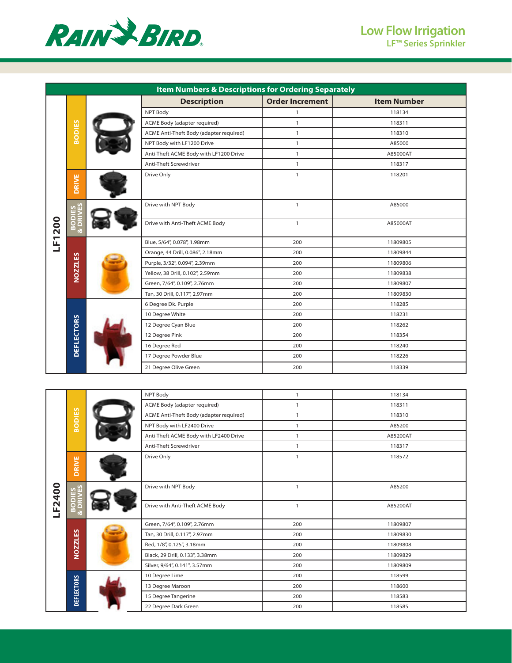

|        |                   | <b>Item Numbers &amp; Descriptions for Ordering Separately</b> |                        |                    |
|--------|-------------------|----------------------------------------------------------------|------------------------|--------------------|
|        |                   | <b>Description</b>                                             | <b>Order Increment</b> | <b>Item Number</b> |
|        |                   | NPT Body                                                       | $\mathbf{1}$           | 118134             |
|        |                   | ACME Body (adapter required)                                   | $\mathbf{1}$           | 118311             |
|        | <b>BODIES</b>     | ACME Anti-Theft Body (adapter required)                        | $\mathbf{1}$           | 118310             |
|        |                   | NPT Body with LF1200 Drive                                     | $\mathbf{1}$           | A85000             |
|        |                   | Anti-Theft ACME Body with LF1200 Drive                         | $\mathbf{1}$           | A85000AT           |
|        |                   | Anti-Theft Screwdriver                                         | $\mathbf{1}$           | 118317             |
|        | <b>DRIVE</b>      | Drive Only                                                     | $\mathbf{1}$           | 118201             |
|        | <b>989</b>        | Drive with NPT Body                                            | $\mathbf{1}$           | A85000             |
| LF1200 | $\mathbf{a}$      | Drive with Anti-Theft ACME Body                                | $\mathbf{1}$           | A85000AT           |
|        |                   | Blue, 5/64", 0.078", 1.98mm                                    | 200                    | 11809805           |
|        |                   | Orange, 44 Drill, 0.086", 2.18mm                               | 200                    | 11809844           |
|        |                   | Purple, 3/32", 0.094", 2.39mm                                  | 200                    | 11809806           |
|        | <b>NOZZLES</b>    | Yellow, 38 Drill, 0.102", 2.59mm                               | 200                    | 11809838           |
|        |                   | Green, 7/64", 0.109", 2.76mm                                   | 200                    | 11809807           |
|        |                   | Tan, 30 Drill, 0.117", 2.97mm                                  | 200                    | 11809830           |
|        |                   | 6 Degree Dk. Purple                                            | 200                    | 118285             |
|        |                   | 10 Degree White                                                | 200                    | 118231             |
|        |                   | 12 Degree Cyan Blue                                            | 200                    | 118262             |
|        |                   | 12 Degree Pink                                                 | 200                    | 118354             |
|        | <b>DEFLECTORS</b> | 16 Degree Red                                                  | 200                    | 118240             |
|        |                   | 17 Degree Powder Blue                                          | 200                    | 118226             |
|        |                   | 21 Degree Olive Green                                          | 200                    | 118339             |

|        |                   | NPT Body                                | $\mathbf{1}$ | 118134   |
|--------|-------------------|-----------------------------------------|--------------|----------|
|        |                   | ACME Body (adapter required)            | $\mathbf{1}$ | 118311   |
|        |                   | ACME Anti-Theft Body (adapter required) | $\mathbf{1}$ | 118310   |
|        | <b>BODIES</b>     | NPT Body with LF2400 Drive              | $\mathbf{1}$ | A85200   |
|        |                   | Anti-Theft ACME Body with LF2400 Drive  | $\mathbf{1}$ | A85200AT |
|        |                   | Anti-Theft Screwdriver                  | $\mathbf{1}$ | 118317   |
|        | DRIVE             | Drive Only                              | $\mathbf{1}$ | 118572   |
| LF2400 | <b>SES</b>        | Drive with NPT Body                     | $\mathbf{1}$ | A85200   |
|        | m<br>œ            | Drive with Anti-Theft ACME Body         | $\mathbf{1}$ | A85200AT |
|        |                   | Green, 7/64", 0.109", 2.76mm            | 200          | 11809807 |
|        |                   | Tan, 30 Drill, 0.117", 2.97mm           | 200          | 11809830 |
|        | <b>NOZZLES</b>    | Red, 1/8", 0.125", 3.18mm               | 200          | 11809808 |
|        |                   | Black, 29 Drill, 0.133", 3.38mm         | 200          | 11809829 |
|        |                   | Silver, 9/64", 0.141", 3.57mm           | 200          | 11809809 |
|        |                   | 10 Degree Lime                          | 200          | 118599   |
|        |                   | 13 Degree Maroon                        | 200          | 118600   |
|        | <b>DEFLECTORS</b> | 15 Degree Tangerine                     | 200          | 118583   |
|        |                   | 22 Degree Dark Green                    | 200          | 118585   |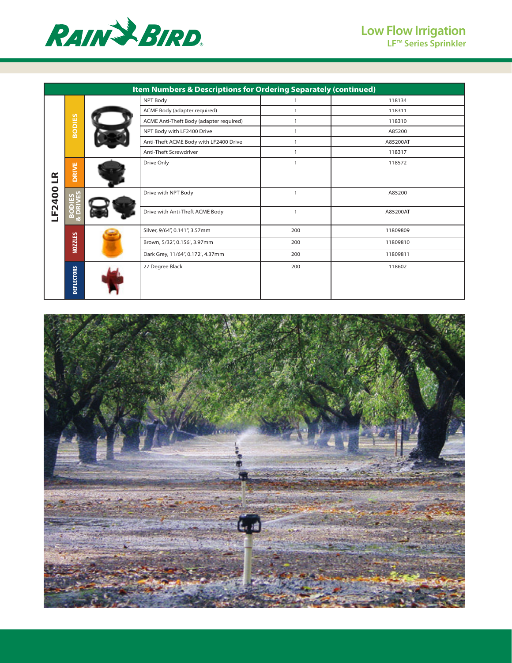

|              |                   | Item Numbers & Descriptions for Ordering Separately (continued) |                |          |
|--------------|-------------------|-----------------------------------------------------------------|----------------|----------|
|              |                   | NPT Body                                                        | $\mathbf{1}$   | 118134   |
|              |                   | ACME Body (adapter required)                                    | $\overline{1}$ | 118311   |
|              | <b>BODIES</b>     | ACME Anti-Theft Body (adapter required)                         | $\mathbf{1}$   | 118310   |
|              |                   | NPT Body with LF2400 Drive                                      | $\mathbf{1}$   | A85200   |
|              |                   | Anti-Theft ACME Body with LF2400 Drive                          | $\mathbf{1}$   | A85200AT |
|              |                   | Anti-Theft Screwdriver                                          | $\mathbf{1}$   | 118317   |
| $\mathbf{R}$ | <b>DRIVE</b>      | Drive Only                                                      | $\mathbf{1}$   | 118572   |
| LF2400       | ងក្ល              | Drive with NPT Body                                             | $\overline{1}$ | A85200   |
|              | $\mathbf{m}$      | Drive with Anti-Theft ACME Body                                 | $\mathbf{1}$   | A85200AT |
|              |                   | Silver, 9/64", 0.141", 3.57mm                                   | 200            | 11809809 |
|              | <b>NOZZLES</b>    | Brown, 5/32", 0.156", 3.97mm                                    | 200            | 11809810 |
|              |                   | Dark Grey, 11/64", 0.172", 4.37mm                               | 200            | 11809811 |
|              | <b>DEFLECTORS</b> | 27 Degree Black                                                 | 200            | 118602   |

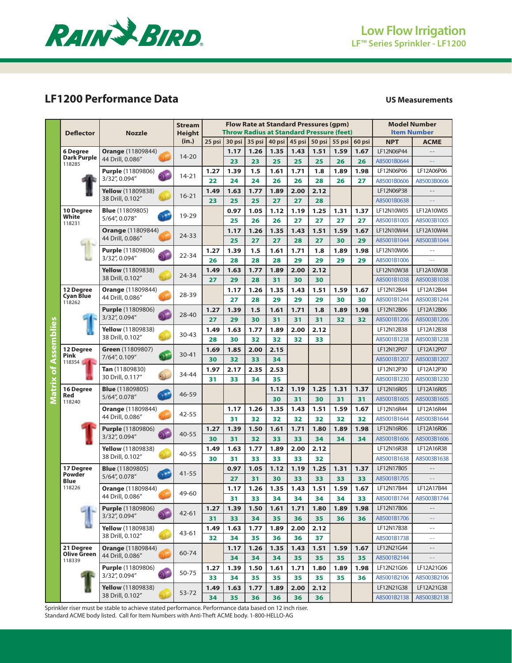

# **LF1200 Performance Data US Measurements**

|                         | <b>Deflector</b>              | <b>Nozzle</b>                                                                                                                                                                                                                                                                                                                                                                                                                                                                                                                                                                                                                                                                                                                                                                                                                                                                                                                                                                                                                                                                                                                                                                                                                                                                                                                                                                                                                                                                                                                                                                                                                                                                                                                                                                                                                                                                                                                                                                                                                                                                                                                                                                                                                                                                                                                                                                                                                                                                                                                                                                                                                                                                                                                                                                                                                                                                                                                                                                                                                                                                                                                                                                         | <b>Stream</b> |        |             |             |        |        |        |        |            | <b>Model Number</b><br><b>Item Number</b> |                            |
|-------------------------|-------------------------------|---------------------------------------------------------------------------------------------------------------------------------------------------------------------------------------------------------------------------------------------------------------------------------------------------------------------------------------------------------------------------------------------------------------------------------------------------------------------------------------------------------------------------------------------------------------------------------------------------------------------------------------------------------------------------------------------------------------------------------------------------------------------------------------------------------------------------------------------------------------------------------------------------------------------------------------------------------------------------------------------------------------------------------------------------------------------------------------------------------------------------------------------------------------------------------------------------------------------------------------------------------------------------------------------------------------------------------------------------------------------------------------------------------------------------------------------------------------------------------------------------------------------------------------------------------------------------------------------------------------------------------------------------------------------------------------------------------------------------------------------------------------------------------------------------------------------------------------------------------------------------------------------------------------------------------------------------------------------------------------------------------------------------------------------------------------------------------------------------------------------------------------------------------------------------------------------------------------------------------------------------------------------------------------------------------------------------------------------------------------------------------------------------------------------------------------------------------------------------------------------------------------------------------------------------------------------------------------------------------------------------------------------------------------------------------------------------------------------------------------------------------------------------------------------------------------------------------------------------------------------------------------------------------------------------------------------------------------------------------------------------------------------------------------------------------------------------------------------------------------------------------------------------------------------------------------|---------------|--------|-------------|-------------|--------|--------|--------|--------|------------|-------------------------------------------|----------------------------|
|                         |                               |                                                                                                                                                                                                                                                                                                                                                                                                                                                                                                                                                                                                                                                                                                                                                                                                                                                                                                                                                                                                                                                                                                                                                                                                                                                                                                                                                                                                                                                                                                                                                                                                                                                                                                                                                                                                                                                                                                                                                                                                                                                                                                                                                                                                                                                                                                                                                                                                                                                                                                                                                                                                                                                                                                                                                                                                                                                                                                                                                                                                                                                                                                                                                                                       | (in.)         | 25 psi | 30 psi      | 35 psi      | 40 psi | 45 psi | 50 psi | 55 psi | 60 psi     | <b>NPT</b>                                | <b>ACME</b>                |
|                         | 6 Degree                      |                                                                                                                                                                                                                                                                                                                                                                                                                                                                                                                                                                                                                                                                                                                                                                                                                                                                                                                                                                                                                                                                                                                                                                                                                                                                                                                                                                                                                                                                                                                                                                                                                                                                                                                                                                                                                                                                                                                                                                                                                                                                                                                                                                                                                                                                                                                                                                                                                                                                                                                                                                                                                                                                                                                                                                                                                                                                                                                                                                                                                                                                                                                                                                                       |               |        | 1.17        | 1.26        | 1.35   | 1.43   | 1.51   | 1.59   | 1.67       | LF12N06P44                                |                            |
|                         | <b>Dark Purple</b><br>118285  | 44 Drill, 0.086"                                                                                                                                                                                                                                                                                                                                                                                                                                                                                                                                                                                                                                                                                                                                                                                                                                                                                                                                                                                                                                                                                                                                                                                                                                                                                                                                                                                                                                                                                                                                                                                                                                                                                                                                                                                                                                                                                                                                                                                                                                                                                                                                                                                                                                                                                                                                                                                                                                                                                                                                                                                                                                                                                                                                                                                                                                                                                                                                                                                                                                                                                                                                                                      |               |        | 23          | 23          | 25     | 25     | 25     | 26     | 26         | A85001B0644                               |                            |
|                         |                               | <b>Purple (11809806)</b>                                                                                                                                                                                                                                                                                                                                                                                                                                                                                                                                                                                                                                                                                                                                                                                                                                                                                                                                                                                                                                                                                                                                                                                                                                                                                                                                                                                                                                                                                                                                                                                                                                                                                                                                                                                                                                                                                                                                                                                                                                                                                                                                                                                                                                                                                                                                                                                                                                                                                                                                                                                                                                                                                                                                                                                                                                                                                                                                                                                                                                                                                                                                                              |               | 1.27   | 1.39        | 1.5         | 1.61   | 1.71   | 1.8    | 1.89   | 1.98       | LF12N06P06                                | LF12A06P06                 |
|                         |                               | <b>Flow Rate at Standard Pressures (gpm)</b><br><b>Throw Radius at Standard Pressure (feet)</b><br><b>Height</b><br><b>Orange (11809844)</b><br>$14 - 20$<br>$14 - 21$<br>3/32", 0.094"<br>22<br>24<br>28<br>26<br>24<br>26<br>26<br>Yellow (11809838)<br>1.77<br>1.49<br>1.63<br>1.89<br>2.00<br>2.12<br>$16 - 21$<br>38 Drill, 0.102"<br>23<br>25<br>25<br>27<br>27<br>28<br><b>Blue</b> (11809805)<br>0.97<br>1.05<br>1.12<br>1.19<br>1.25<br>19-29<br>5/64", 0.078"<br>25<br>26<br>26<br>27<br>27<br>27<br>1.35<br>1.51<br><b>Orange (11809844)</b><br>1.17<br>1.26<br>1.43<br>24-33<br>44 Drill, 0.086"<br>25<br>27<br>27<br>28<br>27<br>30<br><b>Purple</b> (11809806)<br>1.5<br>1.71<br>1.27<br>1.39<br>1.61<br>1.8<br>22-34<br>3/32", 0.094"<br>29<br>26<br>28<br>28<br>28<br>29<br>29<br>1.77<br><b>Yellow</b> (11809838)<br>1.49<br>1.63<br>1.89<br>2.00<br>2.12<br>24-34<br>38 Drill, 0.102"<br>27<br>29<br>28<br>31<br>30<br>30<br><b>Orange (11809844)</b><br>1.17<br>1.26<br>1.35<br>1.43<br>1.51<br>28-39<br>44 Drill, 0.086"<br>27<br>28<br>29<br>29<br>29<br>30<br>1.39<br>1.5<br>1.27<br>1.61<br>1.71<br>1.8<br><b>Purple</b> (11809806)<br>$\mathbf{a}$<br>28-40<br>3/32", 0.094"<br>27<br>29<br>31<br>30<br>31<br>31<br>32<br>Yellow (11809838)<br>1.77<br>1.63<br>1.89<br>2.00<br>2.12<br>1.49<br>$30 - 43$<br>38 Drill, 0.102"<br>28<br>30<br>32<br>32<br>32<br>33<br>Green (11809807)<br>1.85<br>2.00<br>2.15<br>1.69<br>Ō.<br>$30 - 41$<br>7/64", 0.109"<br>30<br>32<br>33<br>34<br>1.97<br>2.17<br>2.35<br>2.53<br>Tan (11809830)<br>34-44<br>$\Omega$<br>30 Drill, 0.117"<br>31<br>33<br>34<br>35<br>1.19<br>1.25<br>1.31<br><b>Blue</b> (11809805)<br>1.12<br>46-59<br>λÉ<br>5/64", 0.078"<br>31<br>30<br>31<br>30<br><b>Orange (11809844)</b><br>1.26<br>1.35<br>1.43<br>1.17<br>1.51<br>1.59<br>42-55<br>44 Drill, 0.086"<br>31<br>32<br>32<br>32<br>32<br>32<br><b>Purple (11809806)</b><br>1.27<br>1.39<br>1.50<br>1.61<br>1.71<br>1.80<br>1.89<br>ЭY<br>$40 - 55$<br>3/32", 0.094"<br>30<br>32<br>34<br>31<br>33<br>33<br>34<br><b>Yellow</b> (11809838)<br>1.49<br>1.63<br>1.77<br>1.89<br>2.00<br>2.12<br>$40 - 55$<br>38 Drill, 0.102"<br>30<br>31<br>33<br>33<br>33<br>32<br><b>Blue</b> (11809805)<br>1.05<br>1.12<br>1.19<br>1.25<br>1.31<br>0.97<br>$41 - 55$<br>5/64", 0.078"<br>31<br>30<br>33<br>27<br>33<br>33<br><b>Orange (11809844)</b><br>1.17<br>1.26<br>1.35<br>1.43<br>1.51<br>1.59<br>49-60<br>44 Drill, 0.086′<br>31<br>33<br>34<br>34<br>34<br>34<br><b>Purple</b> (11809806)<br>1.27<br>1.39<br>1.50<br>1.61<br>1.71<br>1.80<br>1.89<br>42-61<br>3/32", 0.094"<br>31<br>33<br>34<br>35<br>36<br>35<br>36<br><b>Yellow</b> (11809838)<br>1.49<br>1.63<br>1.77<br>1.89<br>2.00<br>2.12<br>43-61<br>38 Drill, 0.102"<br>34<br>35<br>36<br>32<br>36<br>37<br><b>Orange (11809844)</b><br>1.26<br>1.35<br>1.59<br>1.17<br>1.43<br>1.51<br>60-74<br>44 Drill, 0.086"<br>34<br>34<br>34<br>35<br>35<br>35<br><b>Purple (11809806)</b><br>1.27<br>1.39<br>1.50<br>1.61<br>1.71<br>1.80<br>1.89<br>50-75<br>3/32", 0.094"<br>34<br>35<br>35<br>35<br>35<br>35<br>33<br>Yellow (11809838)<br>1.49<br>1.63<br>1.77<br>1.89<br>2.00<br>2.12 |               | 27     | A85001B0606 | A85003B0606 |        |        |        |        |            |                                           |                            |
|                         |                               |                                                                                                                                                                                                                                                                                                                                                                                                                                                                                                                                                                                                                                                                                                                                                                                                                                                                                                                                                                                                                                                                                                                                                                                                                                                                                                                                                                                                                                                                                                                                                                                                                                                                                                                                                                                                                                                                                                                                                                                                                                                                                                                                                                                                                                                                                                                                                                                                                                                                                                                                                                                                                                                                                                                                                                                                                                                                                                                                                                                                                                                                                                                                                                                       |               |        |             |             |        |        |        |        |            | LF12N06P38                                |                            |
|                         |                               |                                                                                                                                                                                                                                                                                                                                                                                                                                                                                                                                                                                                                                                                                                                                                                                                                                                                                                                                                                                                                                                                                                                                                                                                                                                                                                                                                                                                                                                                                                                                                                                                                                                                                                                                                                                                                                                                                                                                                                                                                                                                                                                                                                                                                                                                                                                                                                                                                                                                                                                                                                                                                                                                                                                                                                                                                                                                                                                                                                                                                                                                                                                                                                                       |               |        |             |             |        |        |        |        |            | A85001B0638                               |                            |
|                         | 10 Degree                     |                                                                                                                                                                                                                                                                                                                                                                                                                                                                                                                                                                                                                                                                                                                                                                                                                                                                                                                                                                                                                                                                                                                                                                                                                                                                                                                                                                                                                                                                                                                                                                                                                                                                                                                                                                                                                                                                                                                                                                                                                                                                                                                                                                                                                                                                                                                                                                                                                                                                                                                                                                                                                                                                                                                                                                                                                                                                                                                                                                                                                                                                                                                                                                                       |               |        |             |             |        |        |        | 1.31   | 1.37       | LF12N10W05                                | LF12A10W05                 |
|                         | White<br>118231               |                                                                                                                                                                                                                                                                                                                                                                                                                                                                                                                                                                                                                                                                                                                                                                                                                                                                                                                                                                                                                                                                                                                                                                                                                                                                                                                                                                                                                                                                                                                                                                                                                                                                                                                                                                                                                                                                                                                                                                                                                                                                                                                                                                                                                                                                                                                                                                                                                                                                                                                                                                                                                                                                                                                                                                                                                                                                                                                                                                                                                                                                                                                                                                                       |               |        |             |             |        |        |        |        | 27         | A85001B1005                               | A85003B1005                |
|                         |                               |                                                                                                                                                                                                                                                                                                                                                                                                                                                                                                                                                                                                                                                                                                                                                                                                                                                                                                                                                                                                                                                                                                                                                                                                                                                                                                                                                                                                                                                                                                                                                                                                                                                                                                                                                                                                                                                                                                                                                                                                                                                                                                                                                                                                                                                                                                                                                                                                                                                                                                                                                                                                                                                                                                                                                                                                                                                                                                                                                                                                                                                                                                                                                                                       |               |        |             |             |        |        |        | 1.59   | 1.67       | LF12N10W44                                | LF12A10W44                 |
|                         |                               |                                                                                                                                                                                                                                                                                                                                                                                                                                                                                                                                                                                                                                                                                                                                                                                                                                                                                                                                                                                                                                                                                                                                                                                                                                                                                                                                                                                                                                                                                                                                                                                                                                                                                                                                                                                                                                                                                                                                                                                                                                                                                                                                                                                                                                                                                                                                                                                                                                                                                                                                                                                                                                                                                                                                                                                                                                                                                                                                                                                                                                                                                                                                                                                       |               |        |             |             |        |        |        |        | 29         | A85001B1044                               | A85003B1044                |
|                         |                               |                                                                                                                                                                                                                                                                                                                                                                                                                                                                                                                                                                                                                                                                                                                                                                                                                                                                                                                                                                                                                                                                                                                                                                                                                                                                                                                                                                                                                                                                                                                                                                                                                                                                                                                                                                                                                                                                                                                                                                                                                                                                                                                                                                                                                                                                                                                                                                                                                                                                                                                                                                                                                                                                                                                                                                                                                                                                                                                                                                                                                                                                                                                                                                                       |               |        |             |             |        |        |        | 1.89   | 1.98       | LF12N10W06                                | $=$ $=$                    |
|                         |                               |                                                                                                                                                                                                                                                                                                                                                                                                                                                                                                                                                                                                                                                                                                                                                                                                                                                                                                                                                                                                                                                                                                                                                                                                                                                                                                                                                                                                                                                                                                                                                                                                                                                                                                                                                                                                                                                                                                                                                                                                                                                                                                                                                                                                                                                                                                                                                                                                                                                                                                                                                                                                                                                                                                                                                                                                                                                                                                                                                                                                                                                                                                                                                                                       |               |        |             |             |        |        |        |        | 29         | A85001B1006                               |                            |
|                         |                               |                                                                                                                                                                                                                                                                                                                                                                                                                                                                                                                                                                                                                                                                                                                                                                                                                                                                                                                                                                                                                                                                                                                                                                                                                                                                                                                                                                                                                                                                                                                                                                                                                                                                                                                                                                                                                                                                                                                                                                                                                                                                                                                                                                                                                                                                                                                                                                                                                                                                                                                                                                                                                                                                                                                                                                                                                                                                                                                                                                                                                                                                                                                                                                                       |               |        |             |             |        |        |        |        |            | LF12N10W38                                | LF12A10W38                 |
|                         |                               |                                                                                                                                                                                                                                                                                                                                                                                                                                                                                                                                                                                                                                                                                                                                                                                                                                                                                                                                                                                                                                                                                                                                                                                                                                                                                                                                                                                                                                                                                                                                                                                                                                                                                                                                                                                                                                                                                                                                                                                                                                                                                                                                                                                                                                                                                                                                                                                                                                                                                                                                                                                                                                                                                                                                                                                                                                                                                                                                                                                                                                                                                                                                                                                       |               |        |             |             |        |        |        |        |            | A85001B1038                               | A85003B1038                |
|                         | 12 Degree<br><b>Cyan Blue</b> |                                                                                                                                                                                                                                                                                                                                                                                                                                                                                                                                                                                                                                                                                                                                                                                                                                                                                                                                                                                                                                                                                                                                                                                                                                                                                                                                                                                                                                                                                                                                                                                                                                                                                                                                                                                                                                                                                                                                                                                                                                                                                                                                                                                                                                                                                                                                                                                                                                                                                                                                                                                                                                                                                                                                                                                                                                                                                                                                                                                                                                                                                                                                                                                       |               |        |             |             |        |        |        | 1.59   | 1.67       | LF12N12B44                                | LF12A12B44                 |
|                         | 118262                        |                                                                                                                                                                                                                                                                                                                                                                                                                                                                                                                                                                                                                                                                                                                                                                                                                                                                                                                                                                                                                                                                                                                                                                                                                                                                                                                                                                                                                                                                                                                                                                                                                                                                                                                                                                                                                                                                                                                                                                                                                                                                                                                                                                                                                                                                                                                                                                                                                                                                                                                                                                                                                                                                                                                                                                                                                                                                                                                                                                                                                                                                                                                                                                                       |               |        |             |             |        |        |        |        | 30         | A85001B1244                               | A85003B1244                |
|                         |                               |                                                                                                                                                                                                                                                                                                                                                                                                                                                                                                                                                                                                                                                                                                                                                                                                                                                                                                                                                                                                                                                                                                                                                                                                                                                                                                                                                                                                                                                                                                                                                                                                                                                                                                                                                                                                                                                                                                                                                                                                                                                                                                                                                                                                                                                                                                                                                                                                                                                                                                                                                                                                                                                                                                                                                                                                                                                                                                                                                                                                                                                                                                                                                                                       |               |        |             |             |        |        |        | 1.89   | 1.98       | LF12N12B06                                | LF12A12B06                 |
| <u>res</u>              |                               |                                                                                                                                                                                                                                                                                                                                                                                                                                                                                                                                                                                                                                                                                                                                                                                                                                                                                                                                                                                                                                                                                                                                                                                                                                                                                                                                                                                                                                                                                                                                                                                                                                                                                                                                                                                                                                                                                                                                                                                                                                                                                                                                                                                                                                                                                                                                                                                                                                                                                                                                                                                                                                                                                                                                                                                                                                                                                                                                                                                                                                                                                                                                                                                       |               |        |             |             |        |        |        |        | 32         | A85001B1206                               | A85003B1206                |
| ᅙ                       |                               |                                                                                                                                                                                                                                                                                                                                                                                                                                                                                                                                                                                                                                                                                                                                                                                                                                                                                                                                                                                                                                                                                                                                                                                                                                                                                                                                                                                                                                                                                                                                                                                                                                                                                                                                                                                                                                                                                                                                                                                                                                                                                                                                                                                                                                                                                                                                                                                                                                                                                                                                                                                                                                                                                                                                                                                                                                                                                                                                                                                                                                                                                                                                                                                       |               |        |             |             |        |        |        |        |            | LF12N12B38                                | LF12A12B38                 |
|                         |                               |                                                                                                                                                                                                                                                                                                                                                                                                                                                                                                                                                                                                                                                                                                                                                                                                                                                                                                                                                                                                                                                                                                                                                                                                                                                                                                                                                                                                                                                                                                                                                                                                                                                                                                                                                                                                                                                                                                                                                                                                                                                                                                                                                                                                                                                                                                                                                                                                                                                                                                                                                                                                                                                                                                                                                                                                                                                                                                                                                                                                                                                                                                                                                                                       |               |        |             |             |        |        |        |        |            | A85001B1238                               | A85003B1238                |
| Assem                   | 12 Degree<br>Pink             |                                                                                                                                                                                                                                                                                                                                                                                                                                                                                                                                                                                                                                                                                                                                                                                                                                                                                                                                                                                                                                                                                                                                                                                                                                                                                                                                                                                                                                                                                                                                                                                                                                                                                                                                                                                                                                                                                                                                                                                                                                                                                                                                                                                                                                                                                                                                                                                                                                                                                                                                                                                                                                                                                                                                                                                                                                                                                                                                                                                                                                                                                                                                                                                       |               |        |             |             |        |        |        |        |            | LF12N12P07                                | LF12A12P07                 |
|                         | 118354                        |                                                                                                                                                                                                                                                                                                                                                                                                                                                                                                                                                                                                                                                                                                                                                                                                                                                                                                                                                                                                                                                                                                                                                                                                                                                                                                                                                                                                                                                                                                                                                                                                                                                                                                                                                                                                                                                                                                                                                                                                                                                                                                                                                                                                                                                                                                                                                                                                                                                                                                                                                                                                                                                                                                                                                                                                                                                                                                                                                                                                                                                                                                                                                                                       |               |        |             |             |        |        |        |        |            | A85001B1207                               | A85003B1207                |
| $\overline{\mathbf{b}}$ |                               |                                                                                                                                                                                                                                                                                                                                                                                                                                                                                                                                                                                                                                                                                                                                                                                                                                                                                                                                                                                                                                                                                                                                                                                                                                                                                                                                                                                                                                                                                                                                                                                                                                                                                                                                                                                                                                                                                                                                                                                                                                                                                                                                                                                                                                                                                                                                                                                                                                                                                                                                                                                                                                                                                                                                                                                                                                                                                                                                                                                                                                                                                                                                                                                       |               |        |             |             |        |        |        |        |            | LF12N12P30                                | LF12A12P30                 |
| trix                    |                               |                                                                                                                                                                                                                                                                                                                                                                                                                                                                                                                                                                                                                                                                                                                                                                                                                                                                                                                                                                                                                                                                                                                                                                                                                                                                                                                                                                                                                                                                                                                                                                                                                                                                                                                                                                                                                                                                                                                                                                                                                                                                                                                                                                                                                                                                                                                                                                                                                                                                                                                                                                                                                                                                                                                                                                                                                                                                                                                                                                                                                                                                                                                                                                                       |               |        |             |             |        |        |        |        |            | A85001B1230                               | A85003B1230                |
| īα<br>Σ                 | 16 Degree<br>Red              |                                                                                                                                                                                                                                                                                                                                                                                                                                                                                                                                                                                                                                                                                                                                                                                                                                                                                                                                                                                                                                                                                                                                                                                                                                                                                                                                                                                                                                                                                                                                                                                                                                                                                                                                                                                                                                                                                                                                                                                                                                                                                                                                                                                                                                                                                                                                                                                                                                                                                                                                                                                                                                                                                                                                                                                                                                                                                                                                                                                                                                                                                                                                                                                       |               |        |             |             |        |        |        |        | 1.37       | LF12N16R05                                | LF12A16R05                 |
|                         | 118240                        |                                                                                                                                                                                                                                                                                                                                                                                                                                                                                                                                                                                                                                                                                                                                                                                                                                                                                                                                                                                                                                                                                                                                                                                                                                                                                                                                                                                                                                                                                                                                                                                                                                                                                                                                                                                                                                                                                                                                                                                                                                                                                                                                                                                                                                                                                                                                                                                                                                                                                                                                                                                                                                                                                                                                                                                                                                                                                                                                                                                                                                                                                                                                                                                       |               |        |             |             |        |        |        |        | 31         | A85001B1605                               | A85003B1605                |
|                         |                               |                                                                                                                                                                                                                                                                                                                                                                                                                                                                                                                                                                                                                                                                                                                                                                                                                                                                                                                                                                                                                                                                                                                                                                                                                                                                                                                                                                                                                                                                                                                                                                                                                                                                                                                                                                                                                                                                                                                                                                                                                                                                                                                                                                                                                                                                                                                                                                                                                                                                                                                                                                                                                                                                                                                                                                                                                                                                                                                                                                                                                                                                                                                                                                                       |               |        |             |             |        |        |        |        | 1.67       | LF12N16R44                                | LF12A16R44                 |
|                         |                               |                                                                                                                                                                                                                                                                                                                                                                                                                                                                                                                                                                                                                                                                                                                                                                                                                                                                                                                                                                                                                                                                                                                                                                                                                                                                                                                                                                                                                                                                                                                                                                                                                                                                                                                                                                                                                                                                                                                                                                                                                                                                                                                                                                                                                                                                                                                                                                                                                                                                                                                                                                                                                                                                                                                                                                                                                                                                                                                                                                                                                                                                                                                                                                                       |               |        |             |             |        |        |        |        | 32         | A85001B1644                               | A85003B1644                |
|                         |                               |                                                                                                                                                                                                                                                                                                                                                                                                                                                                                                                                                                                                                                                                                                                                                                                                                                                                                                                                                                                                                                                                                                                                                                                                                                                                                                                                                                                                                                                                                                                                                                                                                                                                                                                                                                                                                                                                                                                                                                                                                                                                                                                                                                                                                                                                                                                                                                                                                                                                                                                                                                                                                                                                                                                                                                                                                                                                                                                                                                                                                                                                                                                                                                                       |               |        |             |             |        |        |        |        | 1.98       | LF12N16R06                                | LF12A16R06                 |
|                         |                               |                                                                                                                                                                                                                                                                                                                                                                                                                                                                                                                                                                                                                                                                                                                                                                                                                                                                                                                                                                                                                                                                                                                                                                                                                                                                                                                                                                                                                                                                                                                                                                                                                                                                                                                                                                                                                                                                                                                                                                                                                                                                                                                                                                                                                                                                                                                                                                                                                                                                                                                                                                                                                                                                                                                                                                                                                                                                                                                                                                                                                                                                                                                                                                                       |               |        |             |             |        |        |        |        | 34         | A85001B1606                               | A85003B1606                |
|                         |                               |                                                                                                                                                                                                                                                                                                                                                                                                                                                                                                                                                                                                                                                                                                                                                                                                                                                                                                                                                                                                                                                                                                                                                                                                                                                                                                                                                                                                                                                                                                                                                                                                                                                                                                                                                                                                                                                                                                                                                                                                                                                                                                                                                                                                                                                                                                                                                                                                                                                                                                                                                                                                                                                                                                                                                                                                                                                                                                                                                                                                                                                                                                                                                                                       |               |        |             |             |        |        |        |        |            | LF12N16R38                                | LF12A16R38                 |
|                         |                               |                                                                                                                                                                                                                                                                                                                                                                                                                                                                                                                                                                                                                                                                                                                                                                                                                                                                                                                                                                                                                                                                                                                                                                                                                                                                                                                                                                                                                                                                                                                                                                                                                                                                                                                                                                                                                                                                                                                                                                                                                                                                                                                                                                                                                                                                                                                                                                                                                                                                                                                                                                                                                                                                                                                                                                                                                                                                                                                                                                                                                                                                                                                                                                                       |               |        |             |             |        |        |        |        |            | A85001B1638                               | A85003B1638                |
|                         | 17 Degree<br>Powder           |                                                                                                                                                                                                                                                                                                                                                                                                                                                                                                                                                                                                                                                                                                                                                                                                                                                                                                                                                                                                                                                                                                                                                                                                                                                                                                                                                                                                                                                                                                                                                                                                                                                                                                                                                                                                                                                                                                                                                                                                                                                                                                                                                                                                                                                                                                                                                                                                                                                                                                                                                                                                                                                                                                                                                                                                                                                                                                                                                                                                                                                                                                                                                                                       |               |        |             |             |        |        |        |        | 1.37       | LF12N17B05<br>A85001B1705                 |                            |
|                         | <b>Blue</b><br>118226         |                                                                                                                                                                                                                                                                                                                                                                                                                                                                                                                                                                                                                                                                                                                                                                                                                                                                                                                                                                                                                                                                                                                                                                                                                                                                                                                                                                                                                                                                                                                                                                                                                                                                                                                                                                                                                                                                                                                                                                                                                                                                                                                                                                                                                                                                                                                                                                                                                                                                                                                                                                                                                                                                                                                                                                                                                                                                                                                                                                                                                                                                                                                                                                                       |               |        |             |             |        |        |        |        | 33<br>1.67 | LF12N17B44                                | LF12A17B44                 |
|                         |                               |                                                                                                                                                                                                                                                                                                                                                                                                                                                                                                                                                                                                                                                                                                                                                                                                                                                                                                                                                                                                                                                                                                                                                                                                                                                                                                                                                                                                                                                                                                                                                                                                                                                                                                                                                                                                                                                                                                                                                                                                                                                                                                                                                                                                                                                                                                                                                                                                                                                                                                                                                                                                                                                                                                                                                                                                                                                                                                                                                                                                                                                                                                                                                                                       |               |        |             |             |        |        |        |        | 33         | A85001B1744                               | A85003B1744                |
|                         |                               |                                                                                                                                                                                                                                                                                                                                                                                                                                                                                                                                                                                                                                                                                                                                                                                                                                                                                                                                                                                                                                                                                                                                                                                                                                                                                                                                                                                                                                                                                                                                                                                                                                                                                                                                                                                                                                                                                                                                                                                                                                                                                                                                                                                                                                                                                                                                                                                                                                                                                                                                                                                                                                                                                                                                                                                                                                                                                                                                                                                                                                                                                                                                                                                       |               |        |             |             |        |        |        |        | 1.98       | LF12N17B06                                | $-$                        |
|                         |                               |                                                                                                                                                                                                                                                                                                                                                                                                                                                                                                                                                                                                                                                                                                                                                                                                                                                                                                                                                                                                                                                                                                                                                                                                                                                                                                                                                                                                                                                                                                                                                                                                                                                                                                                                                                                                                                                                                                                                                                                                                                                                                                                                                                                                                                                                                                                                                                                                                                                                                                                                                                                                                                                                                                                                                                                                                                                                                                                                                                                                                                                                                                                                                                                       |               |        |             |             |        |        |        |        | 36         | A85001B1706                               | нн.                        |
|                         |                               |                                                                                                                                                                                                                                                                                                                                                                                                                                                                                                                                                                                                                                                                                                                                                                                                                                                                                                                                                                                                                                                                                                                                                                                                                                                                                                                                                                                                                                                                                                                                                                                                                                                                                                                                                                                                                                                                                                                                                                                                                                                                                                                                                                                                                                                                                                                                                                                                                                                                                                                                                                                                                                                                                                                                                                                                                                                                                                                                                                                                                                                                                                                                                                                       |               |        |             |             |        |        |        |        |            | LF12N17B38                                | $\sim$ $-$                 |
|                         |                               |                                                                                                                                                                                                                                                                                                                                                                                                                                                                                                                                                                                                                                                                                                                                                                                                                                                                                                                                                                                                                                                                                                                                                                                                                                                                                                                                                                                                                                                                                                                                                                                                                                                                                                                                                                                                                                                                                                                                                                                                                                                                                                                                                                                                                                                                                                                                                                                                                                                                                                                                                                                                                                                                                                                                                                                                                                                                                                                                                                                                                                                                                                                                                                                       |               |        |             |             |        |        |        |        |            | A85001B1738                               | $\sim$ $-$                 |
|                         | 21 Degree                     |                                                                                                                                                                                                                                                                                                                                                                                                                                                                                                                                                                                                                                                                                                                                                                                                                                                                                                                                                                                                                                                                                                                                                                                                                                                                                                                                                                                                                                                                                                                                                                                                                                                                                                                                                                                                                                                                                                                                                                                                                                                                                                                                                                                                                                                                                                                                                                                                                                                                                                                                                                                                                                                                                                                                                                                                                                                                                                                                                                                                                                                                                                                                                                                       |               |        |             |             |        |        |        |        | 1.67       | LF12N21G44                                | $\overline{\phantom{a}}$ . |
|                         | <b>Olive Green</b>            |                                                                                                                                                                                                                                                                                                                                                                                                                                                                                                                                                                                                                                                                                                                                                                                                                                                                                                                                                                                                                                                                                                                                                                                                                                                                                                                                                                                                                                                                                                                                                                                                                                                                                                                                                                                                                                                                                                                                                                                                                                                                                                                                                                                                                                                                                                                                                                                                                                                                                                                                                                                                                                                                                                                                                                                                                                                                                                                                                                                                                                                                                                                                                                                       |               |        |             |             |        |        |        |        | 35         | A85001B2144                               | --                         |
|                         | 118339                        |                                                                                                                                                                                                                                                                                                                                                                                                                                                                                                                                                                                                                                                                                                                                                                                                                                                                                                                                                                                                                                                                                                                                                                                                                                                                                                                                                                                                                                                                                                                                                                                                                                                                                                                                                                                                                                                                                                                                                                                                                                                                                                                                                                                                                                                                                                                                                                                                                                                                                                                                                                                                                                                                                                                                                                                                                                                                                                                                                                                                                                                                                                                                                                                       |               |        |             |             |        |        |        |        | 1.98       | LF12N21G06                                | LF12A21G06                 |
|                         |                               |                                                                                                                                                                                                                                                                                                                                                                                                                                                                                                                                                                                                                                                                                                                                                                                                                                                                                                                                                                                                                                                                                                                                                                                                                                                                                                                                                                                                                                                                                                                                                                                                                                                                                                                                                                                                                                                                                                                                                                                                                                                                                                                                                                                                                                                                                                                                                                                                                                                                                                                                                                                                                                                                                                                                                                                                                                                                                                                                                                                                                                                                                                                                                                                       |               |        |             |             |        |        |        |        | 36         | A85001B2106                               | A85003B2106                |
|                         |                               |                                                                                                                                                                                                                                                                                                                                                                                                                                                                                                                                                                                                                                                                                                                                                                                                                                                                                                                                                                                                                                                                                                                                                                                                                                                                                                                                                                                                                                                                                                                                                                                                                                                                                                                                                                                                                                                                                                                                                                                                                                                                                                                                                                                                                                                                                                                                                                                                                                                                                                                                                                                                                                                                                                                                                                                                                                                                                                                                                                                                                                                                                                                                                                                       |               |        |             |             |        |        |        |        |            | LF12N21G38                                | LF12A21G38                 |
|                         |                               | 38 Drill, 0.102"                                                                                                                                                                                                                                                                                                                                                                                                                                                                                                                                                                                                                                                                                                                                                                                                                                                                                                                                                                                                                                                                                                                                                                                                                                                                                                                                                                                                                                                                                                                                                                                                                                                                                                                                                                                                                                                                                                                                                                                                                                                                                                                                                                                                                                                                                                                                                                                                                                                                                                                                                                                                                                                                                                                                                                                                                                                                                                                                                                                                                                                                                                                                                                      | 53-72         | 34     | 35          | 36          | 36     | 36     | 36     |        |            | A85001B2138                               | A85003B2138                |
|                         |                               | Sprinkler riser must be stable to achieve stated performance. Performance data based on 12 inch riser.                                                                                                                                                                                                                                                                                                                                                                                                                                                                                                                                                                                                                                                                                                                                                                                                                                                                                                                                                                                                                                                                                                                                                                                                                                                                                                                                                                                                                                                                                                                                                                                                                                                                                                                                                                                                                                                                                                                                                                                                                                                                                                                                                                                                                                                                                                                                                                                                                                                                                                                                                                                                                                                                                                                                                                                                                                                                                                                                                                                                                                                                                |               |        |             |             |        |        |        |        |            |                                           |                            |
|                         |                               | Standard ACME body listed. Call for Item Numbers with Anti-Theft ACME body. 1-800-HELLO-AG                                                                                                                                                                                                                                                                                                                                                                                                                                                                                                                                                                                                                                                                                                                                                                                                                                                                                                                                                                                                                                                                                                                                                                                                                                                                                                                                                                                                                                                                                                                                                                                                                                                                                                                                                                                                                                                                                                                                                                                                                                                                                                                                                                                                                                                                                                                                                                                                                                                                                                                                                                                                                                                                                                                                                                                                                                                                                                                                                                                                                                                                                            |               |        |             |             |        |        |        |        |            |                                           |                            |

Sprinkler riser must be stable to achieve stated performance. Performance data based on 12 inch riser.<br>Standard ACME body listed. Call for Item Numbers with Anti-Theft ACME body. 1-800-HELLO-AG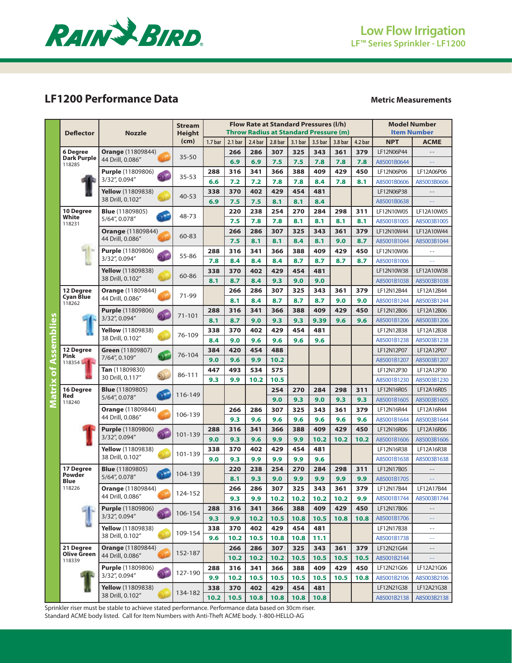

# **LF1200 Performance Data**

## **Metric Measurements**

|                             | <b>Deflector</b>              | <b>Nozzle</b>                                  | <b>Stream</b><br><b>Height</b> |                    |                    | <b>Model Number</b><br><b>Item Number</b> |                    |                                                                    |                    |         |                    |                           |                             |
|-----------------------------|-------------------------------|------------------------------------------------|--------------------------------|--------------------|--------------------|-------------------------------------------|--------------------|--------------------------------------------------------------------|--------------------|---------|--------------------|---------------------------|-----------------------------|
|                             |                               |                                                | (cm)                           | 1.7 <sub>bar</sub> | 2.1 <sub>bar</sub> | 2.4 bar                                   | 2.8 <sub>bar</sub> | <b>Throw Radius at Standard Pressure (m)</b><br>3.1 <sub>bar</sub> | 3.5 <sub>bar</sub> | 3.8 bar | 4.2 <sub>bar</sub> | <b>NPT</b>                | <b>ACME</b>                 |
|                             | 6 Degree                      | <b>Orange</b> (11809844)                       |                                |                    | 266                | 286                                       | 307                | 325                                                                | 343                | 361     | 379                | LF12N06P44                |                             |
|                             | <b>Dark Purple</b><br>118285  | 44 Drill, 0.086"                               | $35 - 50$                      |                    | 6.9                | 6.9                                       | 7.5                | 7.5                                                                | 7.8                | 7.8     | 7.8                | A85001B0644               |                             |
|                             |                               | Purple (11809806)                              |                                | 288                | 316                | 341                                       | 366                | 388                                                                | 409                | 429     | 450                | LF12N06P06                | LF12A06P06                  |
|                             |                               | 3/32", 0.094"                                  | $35 - 53$                      | 6.6                | 7.2                | 7.2                                       | 7.8                | 7.8                                                                | 8.4                | 7.8     | 8.1                | A85001B0606               | A85003B0606                 |
|                             |                               | Yellow (11809838)                              |                                | 338                | 370                | 402                                       | 429                | 454                                                                | 481                |         |                    | LF12N06P38                |                             |
|                             |                               | 38 Drill, 0.102"                               | $40 - 53$                      | 6.9                | 7.5                | 7.5                                       | 8.1                | 8.1                                                                | 8.4                |         |                    | A85001B0638               |                             |
|                             | 10 Degree                     | <b>Blue</b> (11809805)                         |                                |                    | 220                | 238                                       | 254                | 270                                                                | 284                | 298     | 311                | LF12N10W05                | LF12A10W05                  |
|                             | White<br>118231               | 5/64", 0.078"                                  | 48-73                          |                    | 7.5                | 7.8                                       | 7.8                | 8.1                                                                | 8.1                | 8.1     | 8.1                | A85001B1005               | A85003B1005                 |
|                             |                               | <b>Orange (11809844)</b>                       |                                |                    | 266                | 286                                       | 307                | 325                                                                | 343                | 361     | 379                | LF12N10W44                | LF12A10W44                  |
|                             |                               | 44 Drill, 0.086"                               | 60-83                          |                    | 7.5                | 8.1                                       | 8.1                | 8.4                                                                | 8.1                | 9.0     | 8.7                | A85001B1044               | A85003B1044                 |
|                             |                               | <b>Purple</b> (11809806)                       | 55-86                          | 288                | 316                | 341                                       | 366                | 388                                                                | 409                | 429     | 450                | LF12N10W06                | $\overline{a}$              |
|                             |                               | 3/32", 0.094"                                  |                                | 7.8                | 8.4                | 8.4                                       | 8.4                | 8.7                                                                | 8.7                | 8.7     | 8.7                | A85001B1006               |                             |
|                             |                               | <b>Yellow</b> (11809838)                       | 60-86                          | 338                | 370                | 402                                       | 429                | 454                                                                | 481                |         |                    | LF12N10W38                | LF12A10W38                  |
|                             |                               | 38 Drill, 0.102"                               |                                | 8.1                | 8.7                | 8.4                                       | 9.3                | 9.0                                                                | 9.0                |         |                    | A85001B1038               | A85003B1038                 |
|                             | 12 Degree<br><b>Cyan Blue</b> | <b>Orange</b> (11809844)                       | 71-99                          |                    | 266                | 286                                       | 307                | 325                                                                | 343                | 361     | 379                | LF12N12B44                | LF12A12B44                  |
|                             | 118262                        | 44 Drill, 0.086"                               |                                |                    | 8.1                | 8.4                                       | 8.7                | 8.7                                                                | 8.7                | 9.0     | 9.0                | A85001B1244               | A85003B1244                 |
|                             |                               | <b>Purple</b> (11809806)<br>n.                 | 71-101                         | 288                | 316                | 341                                       | 366                | 388                                                                | 409                | 429     | 450                | LF12N12B06                | LF12A12B06                  |
|                             |                               | 3/32", 0.094"                                  |                                | 8.1                | 8.7                | 9.0                                       | 9.3                | 9.3                                                                | 9.39               | 9.6     | 9.6                | A85001B1206               | A85003B1206                 |
| <b>Matrix of Assemblies</b> |                               | <b>Yellow</b> (11809838)                       | 76-109                         | 338                | 370                | 402                                       | 429                | 454                                                                | 481                |         |                    | LF12N12B38                | LF12A12B38                  |
|                             |                               | 38 Drill, 0.102"                               |                                | 8.4                | 9.0                | 9.6                                       | 9.6                | 9.6                                                                | 9.6                |         |                    | A85001B1238               | A85003B1238                 |
|                             | 12 Degree<br>Pink             | Green (11809807)<br>$\Omega$                   | 76-104                         | 384                | 420                | 454                                       | 488                |                                                                    |                    |         |                    | LF12N12P07                | LF12A12P07                  |
|                             | $118354 - 1$                  | 7/64", 0.109"                                  |                                | 9.0                | 9.6                | 9.9                                       | 10.2               |                                                                    |                    |         |                    | A85001B1207               | A85003B1207                 |
|                             |                               | Tan (11809830)<br>ಖ                            | 86-111                         | 447                | 493                | 534                                       | 575                |                                                                    |                    |         |                    | LF12N12P30                | LF12A12P30                  |
|                             |                               | 30 Drill, 0.117"                               |                                | 9.3                | 9.9                | 10.2                                      | 10.5               |                                                                    |                    |         |                    | A85001B1230               | A85003B1230                 |
|                             | 16 Degree<br>Red              | <b>Blue</b> (11809805)<br>ЪF.<br>5/64", 0.078" | 116-149                        |                    |                    |                                           | 254                | 270                                                                | 284                | 298     | 311                | LF12N16R05                | LF12A16R05                  |
|                             | 118240                        |                                                |                                |                    |                    |                                           | 9.0                | 9.3                                                                | 9.0                | 9.3     | 9.3                | A85001B1605               | A85003B1605                 |
|                             |                               | <b>Orange (11809844)</b><br>44 Drill, 0.086"   | 106-139                        |                    | 266                | 286                                       | 307                | 325                                                                | 343                | 361     | 379                | LF12N16R44                | LF12A16R44                  |
|                             |                               |                                                |                                |                    | 9.3                | 9.6                                       | 9.6                | 9.6                                                                | 9.6                | 9.6     | 9.6                | A85001B1644               | A85003B1644                 |
|                             |                               | <b>Purple</b> (11809806)<br>3/32", 0.094"      | 101-139                        | 288                | 316                | 341                                       | 366                | 388                                                                | 409                | 429     | 450                | LF12N16R06                | LF12A16R06                  |
|                             |                               | <b>Yellow</b> (11809838)                       |                                | 9.0                | 9.3                | 9.6<br>402                                | 9.9<br>429         | 9.9                                                                | 10.2               | 10.2    | 10.2               | A85001B1606<br>LF12N16R38 | A85003B1606<br>LF12A16R38   |
|                             |                               | 38 Drill, 0.102"                               | 101-139                        | 338<br>9.0         | 370<br>9.3         | 9.9                                       | 9.9                | 454<br>9.9                                                         | 481<br>9.6         |         |                    | A85001B1638               | A85003B1638                 |
|                             | 17 Degree                     | <b>Blue</b> (11809805)                         |                                |                    | 220                | 238                                       | 254                | 270                                                                | 284                | 298     | 311                | LF12N17B05                |                             |
|                             | Powder                        | 5/64", 0.078"                                  | 104-139                        |                    | 8.1                | 9.3                                       | 9.0                | 9.9                                                                | 9.9                | 9.9     | 9.9                | A85001B1705               |                             |
|                             | Blue<br>118226                | <b>Orange (11809844)</b>                       |                                |                    | 266                | 286                                       | 307                | 325                                                                | 343                | 361     | 379                | LF12N17B44                | LF12A17B44                  |
|                             |                               | 44 Drill, 0.086"                               | 124-152                        |                    | 9.3                | 9.9                                       | 10.2               | 10.2                                                               | 10.2               | 10.2    | 9.9                | A85001B1744               | A85003B1744                 |
|                             |                               | <b>Purple</b> (11809806)                       |                                | 288                | 316                | 341                                       | 366                | 388                                                                | 409                | 429     | 450                | LF12N17B06                |                             |
|                             |                               | 3/32", 0.094"                                  | 106-154                        | 9.3                | 9.9                | 10.2                                      | 10.5               | 10.8                                                               | 10.5               | 10.8    | 10.8               | A85001B1706               | $\rightarrow$ $\rightarrow$ |
|                             |                               | <b>Yellow</b> (11809838)                       |                                | 338                | 370                | 402                                       | 429                | 454                                                                | 481                |         |                    | LF12N17B38                | $\sim$ $-$                  |
|                             |                               | 38 Drill, 0.102"                               | 109-154                        | 9.6                | 10.2               | 10.5                                      | 10.8               | 10.8                                                               | 11.1               |         |                    | A85001B1738               | $\sim$ $-$                  |
|                             | 21 Degree                     | <b>Orange (11809844)</b>                       |                                |                    | 266                | 286                                       | 307                | 325                                                                | 343                | 361     | 379                | LF12N21G44                | $-\,-$                      |
|                             | Olive Green<br>118339         | 44 Drill, 0.086"                               | 152-187                        |                    | 10.2               | 10.2                                      | 10.2               | 10.5                                                               | 10.5               | 10.5    | 10.5               | A85001B2144               | 44                          |
|                             |                               | <b>Purple</b> (11809806)                       |                                | 288                | 316                | 341                                       | 366                | 388                                                                | 409                | 429     | 450                | LF12N21G06                | LF12A21G06                  |
|                             |                               | 3/32", 0.094"                                  | 127-190                        | 9.9                | 10.2               | 10.5                                      | 10.5               | 10.5                                                               | 10.5               | 10.5    | 10.8               | A85001B2106               | A85003B2106                 |
|                             |                               | <b>Yellow</b> (11809838)                       |                                | 338                | 370                | 402                                       | 429                | 454                                                                | 481                |         |                    | LF12N21G38                | LF12A21G38                  |
|                             |                               | 38 Drill, 0.102"                               | 134-182                        | 10.2               | 10.5               | 10.8                                      | 10.8               | 10.8                                                               | 10.8               |         |                    | A85001B2138               | A85003B2138                 |

Sprinkler riser must be stable to achieve stated performance. Performance data based on 30cm riser. Standard ACME body listed. Call for Item Numbers with Anti-Theft ACME body. 1-800-HELLO-AG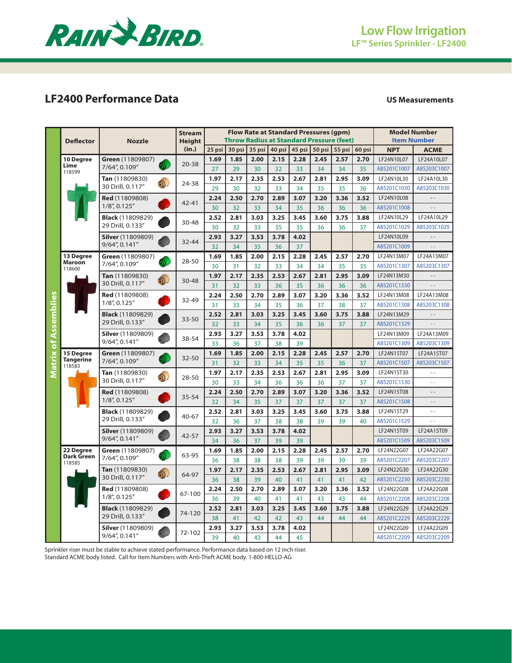

# **LF2400 Performance Data US Measurements**

|                     |                            | <b>Stream</b>                               |               |            | <b>Flow Rate at Standard Pressures (gpm)</b> |            | <b>Model Number</b> |            |        |                                                 |        |                           |                   |  |
|---------------------|----------------------------|---------------------------------------------|---------------|------------|----------------------------------------------|------------|---------------------|------------|--------|-------------------------------------------------|--------|---------------------------|-------------------|--|
|                     | <b>Deflector</b>           | <b>Nozzle</b>                               | <b>Height</b> |            |                                              |            |                     |            |        | <b>Throw Radius at Standard Pressure (feet)</b> |        | <b>Item Number</b>        |                   |  |
|                     |                            |                                             | (in.)         | $25$ psi   | 30 psi                                       | 35 psi     | 40 psi              | 45 psi     | 50 psi | 55 psi                                          | 60 psi | <b>NPT</b>                | <b>ACME</b>       |  |
|                     | 10 Degree                  | Green (11809807)                            |               | 1.69       | 1.85                                         | 2.00       | 2.15                | 2.28       | 2.45   | 2.57                                            | 2.70   | LF24N10L07                | LF24A10L07        |  |
|                     | Lime<br>118599             | Ñ.<br>7/64", 0.109"                         | $20 - 38$     | 27         | 29                                           | 30         | 32                  | 33         | 34     | 34                                              | 35     | A85201C1007               | A85203C1007       |  |
|                     |                            | Tan (11809830)<br>ெ                         | 24-38         | 1.97       | 2.17                                         | 2.35       | 2.53                | 2.67       | 2.81   | 2.95                                            | 3.09   | LF24N10L30                | LF24A10L30        |  |
|                     |                            | 30 Drill, 0.117"                            |               | 29         | 30                                           | 32         | 33                  | 34         | 35     | 35                                              | 36     | A85201C1030               | A85203C1030       |  |
|                     |                            | Red (11809808)                              | 42-41         | 2.24       | 2.50                                         | 2.70       | 2.89                | 3.07       | 3.20   | 3.36                                            | 3.52   | LF24N10L08                |                   |  |
|                     |                            | 1/8", 0.125"                                |               | 30         | 32                                           | 33         | 34                  | 35         | 36     | 36                                              | 36     | A85201C1008               |                   |  |
|                     |                            | <b>Black</b> (11809829)                     | 30-48         | 2.52       | 2.81                                         | 3.03       | 3.25                | 3.45       | 3.60   | 3.75                                            | 3.88   | LF24N10L29                | LF24A10L29        |  |
|                     |                            | 29 Drill, 0.133"                            |               | 30         | 32                                           | 33         | 35                  | 35         | 36     | 36                                              | 37     | A85201C1029               | A85203C1029       |  |
|                     |                            | <b>Silver</b> (11809809)                    | 32-44         | 2.93       | 3.27                                         | 3.53       | 3.78                | 4.02       |        |                                                 |        | LF24N10L09                |                   |  |
|                     |                            | 9/64", 0.141"                               |               | 32         | 34                                           | 35         | 36                  | 37         |        |                                                 |        | A85201C1009               | L.                |  |
|                     | 13 Degree<br><b>Maroon</b> | Green (11809807)<br>7/64", 0.109"           | 28-50         | 1.69       | 1.85                                         | 2.00       | 2.15                | 2.28       | 2.45   | 2.57                                            | 2.70   | LF24N13M07                | LF24A13M07        |  |
|                     | 118600                     |                                             |               | 30         | 31                                           | 32         | 33                  | 34         | 34     | 35                                              | 35     | A85201C1307               | A85203C1307       |  |
|                     |                            | Tan (11809830)<br>O)<br>30 Drill, 0.117"    | 30-48         | 1.97       | 2.17                                         | 2.35       | 2.53                | 2.67       | 2.81   | 2.95                                            | 3.09   | LF24N13M30                |                   |  |
|                     |                            |                                             |               | 31         | 32                                           | 33         | 36                  | 35         | 36     | 36                                              | 36     | A85201C1330               |                   |  |
|                     |                            | Red (11809808)<br>$1/8$ ", 0.125"           | 32-49         | 2.24       | 2.50                                         | 2.70       | 2.89                | 3.07       | 3.20   | 3.36                                            | 3.52   | LF24N13M08                | LF24A13M08        |  |
|                     |                            |                                             |               | 31         | 33                                           | 34         | 35                  | 36         | 37     | 38                                              | 37     | A85201C1308               | A85203C1308       |  |
|                     |                            | <b>Black</b> (11809829)<br>29 Drill, 0.133" | 33-50         | 2.52       | 2.81                                         | 3.03       | 3.25                | 3.45       | 3.60   | 3.75                                            | 3.88   | LF24N13M29                | $\equiv$ $\equiv$ |  |
|                     |                            |                                             |               | 32         | 33<br>3.27                                   | 34<br>3.53 | 35<br>3.78          | 36<br>4.02 | 36     | 37                                              | 37     | A85201C1329<br>LF24N13M09 | LF24A13M09        |  |
|                     |                            | <b>Silver</b> (11809809)<br>9/64", 0.141"   | 38-54         | 2.93<br>33 | 36                                           | 37         | 38                  | 39         |        |                                                 |        | A85201C1309               | A85203C1309       |  |
| atrix of Assemblies | 15 Degree                  | Green (11809807)                            |               | 1.69       | 1.85                                         | 2.00       | 2.15                | 2.28       | 2.45   | 2.57                                            | 2.70   | LF24N15T07                | LF24A15T07        |  |
|                     | <b>Tangerine</b>           | 7/64", 0.109"                               | 32-50         | 31         | 32                                           | 33         | 34                  | 35         | 35     | 36                                              | 37     | A85201C1507               | A85203C1507       |  |
| Σ                   | 118583                     | Tan (11809830)                              |               | 1.97       | 2.17                                         | 2.35       | 2.53                | 2.67       | 2.81   | 2.95                                            | 3.09   | LF24N15T30                | $\sim$ $\sim$     |  |
|                     |                            | ெ<br>30 Drill, 0.117"                       | 28-50         | 30         | 33                                           | 34         | 36                  | 36         | 36     | 37                                              | 37     | A85201C1530               | $\omega$ $\omega$ |  |
|                     |                            | <b>Red</b> (11809808)                       |               | 2.24       | 2.50                                         | 2.70       | 2.89                | 3.07       | 3.20   | 3.36                                            | 3.52   | LF24N15T08                | $\sim$ $\sim$     |  |
|                     |                            | 1/8", 0.125"                                | 35-54         | 32         | 34                                           | 35         | 37                  | 37         | 37     | 37                                              | 37     | A85201C1508               | $\omega$ $\omega$ |  |
|                     |                            | <b>Black</b> (11809829)                     | 40-67         | 2.52       | 2.81                                         | 3.03       | 3.25                | 3.45       | 3.60   | 3.75                                            | 3.88   | LF24N15T29                | $\sim$ $\sim$     |  |
|                     |                            | 29 Drill, 0.133"                            |               | 32         | 36                                           | 37         | 38                  | 38         | 39     | 39                                              | 40     | A85201C1529               |                   |  |
|                     |                            | <b>Silver</b> (11809809)                    | 42-57         | 2.93       | 3.27                                         | 3.53       | 3.78                | 4.02       |        |                                                 |        | LF24N15T09                | LF24A15T09        |  |
|                     |                            | 9/64", 0.141"                               |               | 34         | 36                                           | 37         | 39                  | 39         |        |                                                 |        | A85201C1509               | A85203C1509       |  |
|                     | 22 Degree<br>Dark Green    | Green (11809807)                            | 63-95         | 1.69       | 1.85                                         | 2.00       | 2.15                | 2.28       | 2.45   | 2.57                                            | 2.70   | LF24N22G07                | LF24A22G07        |  |
|                     | 118585                     | 7/64", 0.109"                               |               | 36         | 38                                           | 38         | 38                  | 39         | 39     | 39                                              | 39     | A85201C2207               | A85203C2207       |  |
|                     |                            | Tan (11809830)                              | 64-97         | 1.97       | 2.17                                         | 2.35       | 2.53                | 2.67       | 2.81   | 2.95                                            | 3.09   | LF24N22G30                | LF24A22G30        |  |
|                     |                            | 30 Drill, 0.117"                            |               | 36         | 38                                           | 39         | 40                  | 41         | 41     | 41                                              | 42     | A85201C2230               | A85203C2230       |  |
|                     |                            | <b>Red</b> (11809808)<br>1/8", 0.125"       | 67-100        | 2.24       | 2.50                                         | 2.70       | 2.89                | 3.07       | 3.20   | 3.36                                            | 3.52   | LF24N22G08                | LF24A22G08        |  |
|                     |                            |                                             |               | 36         | 39                                           | 40         | 41                  | 41         | 43     | 43                                              | 44     | A85201C2208               | A85203C2208       |  |
|                     |                            | <b>Black</b> (11809829)                     | 74-120        | 2.52       | 2.81                                         | 3.03       | 3.25                | 3.45       | 3.60   | 3.75                                            | 3.88   | LF24N22G29                | LF24A22G29        |  |
|                     |                            | 29 Drill, 0.133"                            |               | 38         | 41                                           | 42         | 42                  | 43         | 44     | 44                                              | 44     | A85201C2229               | A85203C2229       |  |
|                     |                            | Silver (11809809)<br>9/64", 0.141"          | 72-102        | 2.93       | 3.27                                         | 3.53       | 3.78                | 4.02       |        |                                                 |        | LF24N22G09                | LF24A22G09        |  |
|                     |                            |                                             |               | 39         | 40                                           | 43         | 44                  | 45         |        |                                                 |        | A85201C2209               | A85203C2209       |  |

Sprinkler riser must be stable to achieve stated performance. Performance data based on 12 inch riser. Standard ACME body listed. Call for Item Numbers with Anti-Theft ACME body. 1-800-HELLO-AG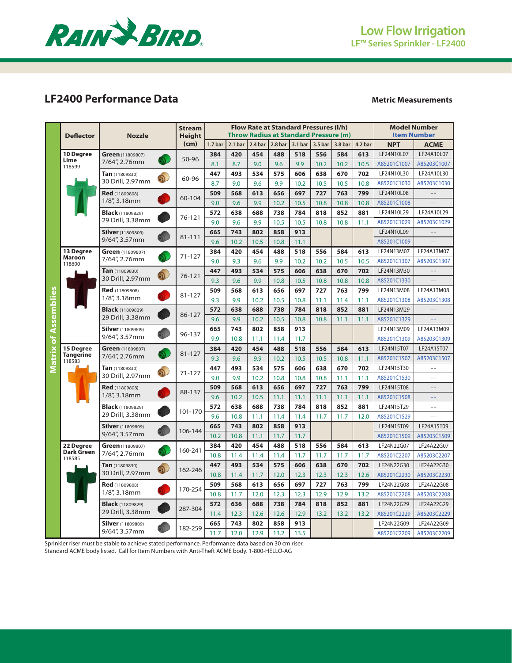

# **LF2400 Performance Data**

## **Metric Measurements**

|                             |                            | <b>Stream</b>                             |               |                    | Flow Rate at Standard Pressures (I/h) |         | <b>Model Number</b> |         |                                              |         |         |             |                    |
|-----------------------------|----------------------------|-------------------------------------------|---------------|--------------------|---------------------------------------|---------|---------------------|---------|----------------------------------------------|---------|---------|-------------|--------------------|
|                             | <b>Deflector</b>           | <b>Nozzle</b>                             | <b>Height</b> |                    |                                       |         |                     |         | <b>Throw Radius at Standard Pressure (m)</b> |         |         |             | <b>Item Number</b> |
|                             |                            |                                           | (cm)          | 1.7 <sub>bar</sub> | 2.1 <sub>bar</sub>                    | 2.4 bar | 2.8 <sub>bar</sub>  | 3.1 bar | 3.5 bar                                      | 3.8 bar | 4.2 bar | <b>NPT</b>  | <b>ACME</b>        |
|                             | 10 Degree                  | Green (11809807)                          |               | 384                | 420                                   | 454     | 488                 | 518     | 556                                          | 584     | 613     | LF24N10L07  | LF24A10L07         |
|                             | Lime<br>118599             | Ñ.<br>7/64", 2.76mm                       | 50-96         | 8.1                | 8.7                                   | 9.0     | 9.6                 | 9.9     | 10.2                                         | 10.2    | 10.5    | A85201C1007 | A85203C1007        |
| <b>Matrix of Assemblies</b> |                            | Tan (11809830)<br>$\overline{\mathbb{D}}$ |               | 447                | 493                                   | 534     | 575                 | 606     | 638                                          | 670     | 702     | LF24N10L30  | LF24A10L30         |
|                             |                            | 30 Drill, 2.97mm                          | 60-96         | 8.7                | 9.0                                   | 9.6     | 9.9                 | 10.2    | 10.5                                         | 10.5    | 10.8    | A85201C1030 | A85203C1030        |
|                             |                            | Red (11809808)                            |               | 509                | 568                                   | 613     | 656                 | 697     | 727                                          | 763     | 799     | LF24N10L08  |                    |
|                             |                            | 1/8", 3.18mm                              | 60-104        | 9.0                | 9.6                                   | 9.9     | 10.2                | 10.5    | 10.8                                         | 10.8    | 10.8    | A85201C1008 | 22                 |
|                             |                            | <b>Black</b> (11809829)                   |               | 572                | 638                                   | 688     | 738                 | 784     | 818                                          | 852     | 881     | LF24N10L29  | LF24A10L29         |
|                             |                            | 29 Drill, 3.38mm                          | 76-121        | 9.0                | 9.6                                   | 9.9     | 10.5                | 10.5    | 10.8                                         | 10.8    | 11.1    | A85201C1029 | A85203C1029        |
|                             |                            | <b>Silver</b> (11809809)                  | 81-111        | 665                | 743                                   | 802     | 858                 | 913     |                                              |         |         | LF24N10L09  |                    |
|                             |                            | 9/64", 3.57mm                             |               | 9.6                | 10.2                                  | 10.5    | 10.8                | 11.1    |                                              |         |         | A85201C1009 |                    |
|                             | 13 Degree                  | Green (11809807)<br>Ñ.                    | $71 - 127$    | 384                | 420                                   | 454     | 488                 | 518     | 556                                          | 584     | 613     | LF24N13M07  | LF24A13M07         |
|                             | <b>Maroon</b><br>118600    | 7/64", 2.76mm                             |               | 9.0                | 9.3                                   | 9.6     | 9.9                 | 10.2    | 10.2                                         | 10.5    | 10.5    | A85201C1307 | A85203C1307        |
|                             |                            | Tan (11809830)<br>O.                      | 76-121        | 447                | 493                                   | 534     | 575                 | 606     | 638                                          | 670     | 702     | LF24N13M30  | $-$                |
|                             |                            | 30 Drill, 2.97mm                          |               | 9.3                | 9.6                                   | 9.9     | 10.8                | 10.5    | 10.8                                         | 10.8    | 10.8    | A85201C1330 | ÷.                 |
|                             |                            | <b>Red</b> (11809808)                     | 81-127        | 509                | 568                                   | 613     | 656                 | 697     | 727                                          | 763     | 799     | LF24N13M08  | LF24A13M08         |
|                             |                            | $1/8$ ", 3.18mm                           |               | 9.3                | 9.9                                   | 10.2    | 10.5                | 10.8    | 11.1                                         | 11.4    | 11.1    | A85201C1308 | A85203C1308        |
|                             |                            | <b>Black</b> (11809829)                   | 86-127        | 572                | 638                                   | 688     | 738                 | 784     | 818                                          | 852     | 881     | LF24N13M29  |                    |
|                             |                            | 29 Drill, 3.38mm                          |               | 9.6                | 9.9                                   | 10.2    | 10.5                | 10.8    | 10.8                                         | 11.1    | 11.1    | A85201C1329 | 22                 |
|                             |                            | <b>Silver</b> (11809809)                  | 96-137        | 665                | 743                                   | 802     | 858                 | 913     |                                              |         |         | LF24N13M09  | LF24A13M09         |
|                             |                            | 9/64", 3.57mm                             |               | 9.9                | 10.8                                  | 11.1    | 11.4                | 11.7    |                                              |         |         | A85201C1309 | A85203C1309        |
|                             | <b>15 Dearee</b>           | Green (11809807)                          | 81-127        | 384                | 420                                   | 454     | 488                 | 518     | 556                                          | 584     | 613     | LF24N15T07  | LF24A15T07         |
|                             | <b>Tangerine</b><br>118583 | 7/64", 2.76mm                             |               | 9.3                | 9.6                                   | 9.9     | 10.2                | 10.5    | 10.5                                         | 10.8    | 11.1    | A85201C1507 | A85203C1507        |
|                             |                            | Tan (11809830)<br>$\partial$              | $71 - 127$    | 447                | 493                                   | 534     | 575                 | 606     | 638                                          | 670     | 702     | LF24N15T30  | $=$ $-$            |
|                             |                            | 30 Drill, 2.97mm                          |               | 9.0                | 9.9                                   | 10.2    | 10.8                | 10.8    | 10.8                                         | 11.1    | 11.1    | A85201C1530 | u u                |
|                             |                            | Red (11809808)                            | 88-137        | 509                | 568                                   | 613     | 656                 | 697     | 727                                          | 763     | 799     | LF24N15T08  | $- -$              |
|                             |                            | 1/8", 3.18mm                              |               | 9.6                | 10.2                                  | 10.5    | 11.1                | 11.1    | 11.1                                         | 11.1    | 11.1    | A85201C1508 | 44                 |
|                             |                            | <b>Black</b> (11809829)                   | 101-170       | 572                | 638                                   | 688     | 738                 | 784     | 818                                          | 852     | 881     | LF24N15T29  | $-$                |
|                             |                            | 29 Drill, 3.38mm                          |               | 9.6                | 10.8                                  | 11.1    | 11.4                | 11.4    | 11.7                                         | 11.7    | 12.0    | A85201C1529 | $\equiv$ $\equiv$  |
|                             |                            | <b>Silver</b> (11809809)                  | 106-144       | 665                | 743                                   | 802     | 858                 | 913     |                                              |         |         | LF24N15T09  | LF24A15T09         |
|                             |                            | 9/64", 3.57mm                             |               | 10.2               | 10.8                                  | 11.1    | 11.7                | 11.7    |                                              |         |         | A85201C1509 | A85203C1509        |
|                             | 22 Degree<br>Dark Green    | Green (11809807)<br>M.                    | 160-241       | 384                | 420                                   | 454     | 488                 | 518     | 556                                          | 584     | 613     | LF24N22G07  | LF24A22G07         |
|                             | 118585                     | 7/64", 2.76mm                             |               | 10.8               | 11.4                                  | 11.4    | 11.4                | 11.7    | 11.7                                         | 11.7    | 11.7    | A85201C2207 | A85203C2207        |
|                             |                            | Tan (11809830)<br>O.                      | 162-246       | 447                | 493                                   | 534     | 575                 | 606     | 638                                          | 670     | 702     | LF24N22G30  | LF24A22G30         |
|                             |                            | 30 Drill, 2.97mm                          |               | 10.8               | 11.4                                  | 11.7    | 12.0                | 12.3    | 12.3                                         | 12.3    | 12.6    | A85201C2230 | A85203C2230        |
|                             |                            | Red (11809808)                            | 170-254       | 509                | 568                                   | 613     | 656                 | 697     | 727                                          | 763     | 799     | LF24N22G08  | LF24A22G08         |
|                             |                            | $1/8$ ", 3.18mm                           |               | 10.8               | 11.7                                  | 12.0    | 12.3                | 12.3    | 12.9                                         | 12.9    | 13.2    | A85201C2208 | A85203C2208        |
|                             |                            | <b>Black</b> (11809829)                   | 287-304       | 572                | 636                                   | 688     | 738                 | 784     | 818                                          | 852     | 881     | LF24N22G29  | LF24A22G29         |
|                             |                            | 29 Drill, 3.38mm                          |               | 11.4               | 12.3                                  | 12.6    | 12.6                | 12.9    | 13.2                                         | 13.2    | 13.2    | A85201C2229 | A85203C2229        |
|                             |                            | <b>Silver</b> (11809809)                  | 182-259       | 665                | 743                                   | 802     | 858                 | 913     |                                              |         |         | LF24N22G09  | LF24A22G09         |
|                             |                            | 9/64", 3.57mm                             |               | 11.7               | 12.0                                  | 12.9    | 13.2                | 13.5    |                                              |         |         | A85201C2209 | A85203C2209        |

Sprinkler riser must be stable to achieve stated performance. Performance data based on 30 cm riser. Standard ACME body listed. Call for Item Numbers with Anti-Theft ACME body. 1-800-HELLO-AG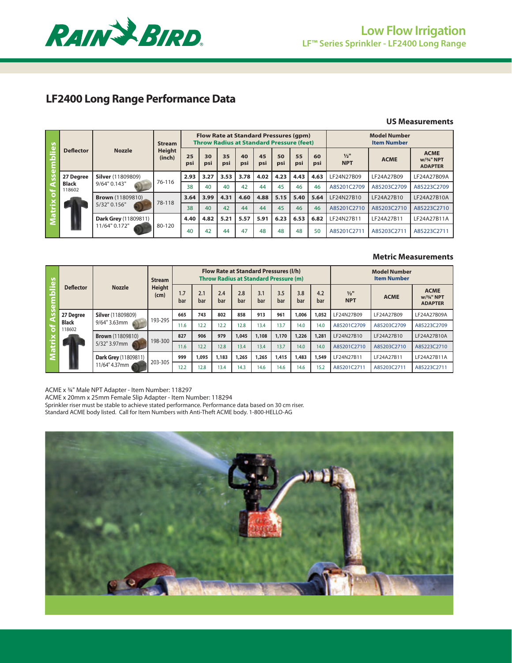

# **Low Flow Irrigation LF™ Series Sprinkler - LF2400 Long Range**

# **LF2400 Long Range Performance Data**

#### **US Measurements**

| <u>ies</u> |                        |                          | <b>Stream</b>           |           |           |           |           | Flow Rate at Standard Pressures (qpm)<br><b>Throw Radius at Standard Pressure (feet)</b> |           | <b>Model Number</b><br><b>Item Number</b> |           |                             |             |                                             |
|------------|------------------------|--------------------------|-------------------------|-----------|-----------|-----------|-----------|------------------------------------------------------------------------------------------|-----------|-------------------------------------------|-----------|-----------------------------|-------------|---------------------------------------------|
|            | <b>Deflector</b>       | <b>Nozzle</b>            | <b>Height</b><br>(inch) | 25<br>psi | 30<br>psi | 35<br>psi | 40<br>psi | 45<br>psi                                                                                | 50<br>psi | 55<br>psi                                 | 60<br>psi | $\frac{1}{2}$<br><b>NPT</b> | <b>ACME</b> | <b>ACME</b><br>w/3/4" NPT<br><b>ADAPTER</b> |
|            | 27 Degree              | <b>Silver</b> (11809809) |                         | 2.93      | 3.27      | 3.53      | 3.78      | 4.02                                                                                     | 4.23      | 4.43                                      | 4.63      | LF24N27B09                  | LF24A27B09  | LF24A27B09A                                 |
|            | <b>Black</b><br>118602 | 9/64" 0.143"             | 76-116                  | 38        | 40        | 40        | 42        | 44                                                                                       | 45        | 46                                        | 46        | A85201C2709                 | A85203C2709 | A85223C2709                                 |
|            |                        | <b>Brown</b> (11809810)  |                         | 3.64      | 3.99      | 4.31      | 4.60      | 4.88                                                                                     | 5.15      | 5.40                                      | 5.64      | LF24N27B10                  | LF24A27B10  | LF24A27B10A                                 |
| iÊ         |                        | $5/32"$ 0.156"           | 78-118                  | 38        | 40        | 42        | 44        | 44                                                                                       | 45        | 46                                        | 46        | A85201C2710                 | A85203C2710 | A85223C2710                                 |
|            |                        | Dark Grey (11809811)     |                         | 4.40      | 4.82      | 5.21      | 5.57      | 5.91                                                                                     | 6.23      | 6.53                                      | 6.82      | LF24N27B11                  | LF24A27B11  | LF24A27B11A                                 |
|            |                        | 11/64" 0.172"            | 80-120                  | 40        | 42        | 44        | 47        | 48                                                                                       | 48        | 48                                        | 50        | A85201C2711                 | A85203C2711 | A85223C2711                                 |

#### **Metric Measurements**

|               |                        |                             | <b>Stream</b><br>Height<br>(cm) |            |            |            | <b>Flow Rate at Standard Pressures (I/h)</b><br><b>Throw Radius at Standard Pressure (m)</b> |            | <b>Model Number</b><br><b>Item Number</b> |            |            |                             |             |                                             |
|---------------|------------------------|-----------------------------|---------------------------------|------------|------------|------------|----------------------------------------------------------------------------------------------|------------|-------------------------------------------|------------|------------|-----------------------------|-------------|---------------------------------------------|
| of Assemblies | <b>Deflector</b>       | <b>Nozzle</b>               |                                 | 1.7<br>bar | 2.1<br>bar | 2.4<br>bar | 2.8<br>bar                                                                                   | 3.1<br>bar | 3.5<br>bar                                | 3.8<br>bar | 4.2<br>bar | $\frac{1}{2}$<br><b>NPT</b> | <b>ACME</b> | <b>ACME</b><br>w/3/4" NPT<br><b>ADAPTER</b> |
|               | 27 Degree              | <b>Silver</b> (11809809)    | 193-295                         | 665        | 743        | 802        | 858                                                                                          | 913        | 961                                       | 1,006      | 1,052      | LF24N27B09                  | LF24A27B09  | LF24A27B09A                                 |
|               | <b>Black</b><br>118602 | 9/64" 3.63mm                |                                 | 11.6       | 12.2       | 12.2       | 12.8                                                                                         | 13.4       | 13.7                                      | 14.0       | 14.0       | A85201C2709                 | A85203C2709 | A85223C2709                                 |
|               |                        | <b>Brown</b> (11809810)     |                                 | 827        | 906        | 979        | 1.045                                                                                        | 1,108      | 1,170                                     | 1,226      | 1,281      | LF24N27B10                  | LF24A27B10  | LF24A27B10A                                 |
| Matrix        | я                      | 5/32" 3.97mm                | 198-300                         | 11.6       | 12.2       | 12.8       | 13.4                                                                                         | 13.4       | 13.7                                      | 14.0       | 14.0       | A85201C2710                 | A85203C2710 | A85223C2710                                 |
|               |                        | <b>Dark Grey</b> (11809811) |                                 | 999        | 1,095      | 1,183      | 1,265                                                                                        | 1,265      | 1,415                                     | 1,483      | 1,549      | LF24N27B11                  | LF24A27B11  | LF24A27B11A                                 |
|               |                        | 11/64" 4.37mm               | 203-305                         | 12.2       | 12.8       | 13.4       | 14.3                                                                                         | 14.6       | 14.6                                      | 14.6       | 15.2       | A85201C2711                 | A85203C2711 | A85223C2711                                 |

ACME x ¾" Male NPT Adapter - Item Number: 118297

ACME x 20mm x 25mm Female Slip Adapter - Item Number: 118294

Sprinkler riser must be stable to achieve stated performance. Performance data based on 30 cm riser. Standard ACME body listed. Call for Item Numbers with Anti-Theft ACME body. 1-800-HELLO-AG